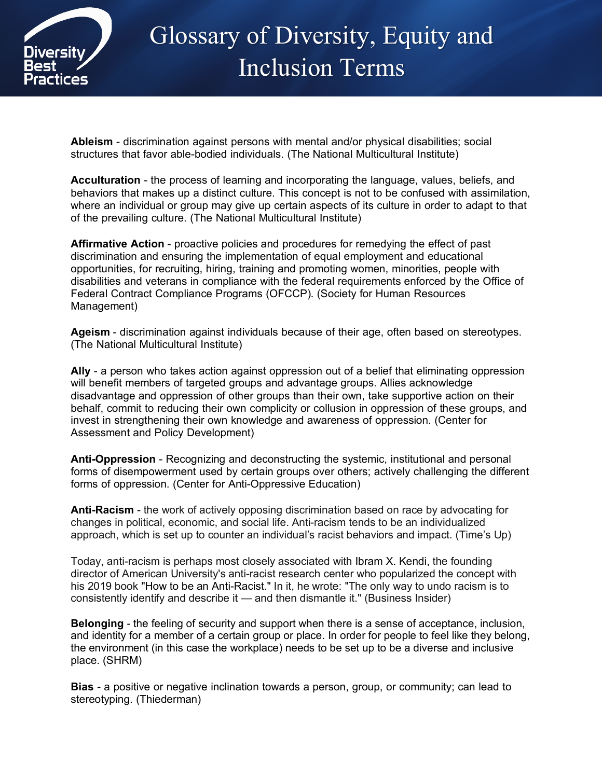

## Glossary of Diversity, Equity and Inclusion Terms

**Ableism** - discrimination against persons with mental and/or physical disabilities; social structures that favor able-bodied individuals. (The National Multicultural Institute)

**Acculturation** - the process of learning and incorporating the language, values, beliefs, and behaviors that makes up a distinct culture. This concept is not to be confused with assimilation, where an individual or group may give up certain aspects of its culture in order to adapt to that of the prevailing culture. (The National Multicultural Institute)

**Affirmative Action** - proactive policies and procedures for remedying the effect of past discrimination and ensuring the implementation of equal employment and educational opportunities, for recruiting, hiring, training and promoting women, minorities, people with disabilities and veterans in compliance with the federal requirements enforced by the Office of Federal Contract Compliance Programs (OFCCP). (Society for Human Resources Management)

**Ageism** - discrimination against individuals because of their age, often based on stereotypes. (The National Multicultural Institute)

**Ally** - a person who takes action against oppression out of a belief that eliminating oppression will benefit members of targeted groups and advantage groups. Allies acknowledge disadvantage and oppression of other groups than their own, take supportive action on their behalf, commit to reducing their own complicity or collusion in oppression of these groups, and invest in strengthening their own knowledge and awareness of oppression. (Center for Assessment and Policy Development)

**Anti-Oppression** - Recognizing and deconstructing the systemic, institutional and personal forms of disempowerment used by certain groups over others; actively challenging the different forms of oppression. (Center for Anti-Oppressive Education)

**Anti-Racism** - the work of actively opposing discrimination based on race by advocating for changes in political, economic, and social life. Anti-racism tends to be an individualized approach, which is set up to counter an individual's racist behaviors and impact. (Time's Up)

Today, anti-racism is perhaps most closely associated with Ibram X. Kendi, the founding director of American University's anti-racist research center who popularized the concept with his 2019 book "How to be an Anti-Racist." In it, he wrote: "The only way to undo racism is to consistently identify and describe it — and then dismantle it." (Business Insider)

**Belonging** - the feeling of security and support when there is a sense of acceptance, inclusion, and identity for a member of a certain group or place. In order for people to feel like they belong, the environment (in this case the workplace) needs to be set up to be a diverse and inclusive place. (SHRM)

**Bias** - a positive or negative inclination towards a person, group, or community; can lead to stereotyping. (Thiederman)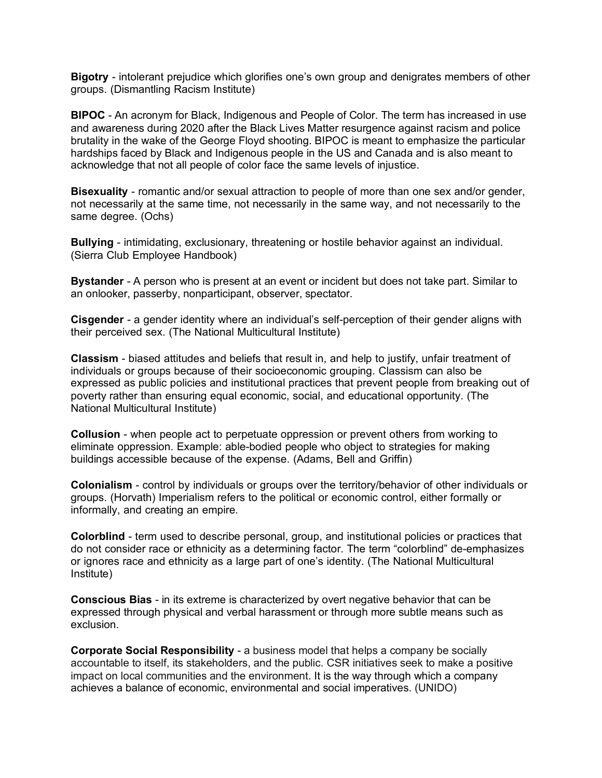**Bigotry** - intolerant prejudice which glorifies one's own group and denigrates members of other groups. (Dismantling Racism Institute)

**BIPOC** - An acronym for Black, Indigenous and People of Color. The term has increased in use and awareness during 2020 after the Black Lives Matter resurgence against racism and police brutality in the wake of the George Floyd shooting. BIPOC is meant to emphasize the particular hardships faced by Black and Indigenous people in the US and Canada and is also meant to acknowledge that not all people of color face the same levels of injustice.

**Bisexuality** - romantic and/or sexual attraction to people of more than one sex and/or gender, not necessarily at the same time, not necessarily in the same way, and not necessarily to the same degree. (Ochs)

**Bullying** - intimidating, exclusionary, threatening or hostile behavior against an individual. (Sierra Club Employee Handbook)

**Bystander** - A person who is present at an event or incident but does not take part. Similar to an onlooker, passerby, nonparticipant, observer, spectator.

**Cisgender** - a gender identity where an individual's self-perception of their gender aligns with their perceived sex. (The National Multicultural Institute)

**Classism** - biased attitudes and beliefs that result in, and help to justify, unfair treatment of individuals or groups because of their socioeconomic grouping. Classism can also be expressed as public policies and institutional practices that prevent people from breaking out of poverty rather than ensuring equal economic, social, and educational opportunity. (The National Multicultural Institute)

**Collusion** - when people act to perpetuate oppression or prevent others from working to eliminate oppression. Example: able-bodied people who object to strategies for making buildings accessible because of the expense. (Adams, Bell and Griffin)

**Colonialism** - control by individuals or groups over the territory/behavior of other individuals or groups. (Horvath) Imperialism refers to the political or economic control, either formally or informally, and creating an empire.

**Colorblind** - term used to describe personal, group, and institutional policies or practices that do not consider race or ethnicity as a determining factor. The term "colorblind" de-emphasizes or ignores race and ethnicity as a large part of one's identity. (The National Multicultural Institute)

**Conscious Bias** - in its extreme is characterized by overt negative behavior that can be expressed through physical and verbal harassment or through more subtle means such as exclusion.

**Corporate Social Responsibility** - a business model that helps a company be socially accountable to itself, its stakeholders, and the public. CSR initiatives seek to make a positive impact on local communities and the environment. It is the way through which a company achieves a balance of economic, environmental and social imperatives. (UNIDO)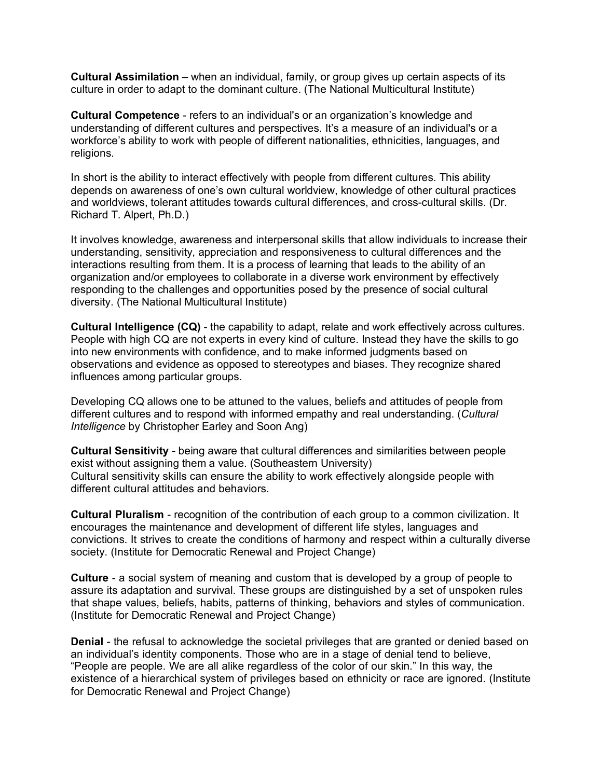**Cultural Assimilation** – when an individual, family, or group gives up certain aspects of its culture in order to adapt to the dominant culture. (The National Multicultural Institute)

**Cultural Competence** - refers to an individual's or an organization's knowledge and understanding of different cultures and perspectives. It's a measure of an individual's or a workforce's ability to work with people of different nationalities, ethnicities, languages, and religions.

In short is the ability to interact effectively with people from different cultures. This ability depends on awareness of one's own cultural worldview, knowledge of other cultural practices and worldviews, tolerant attitudes towards cultural differences, and cross-cultural skills. (Dr. Richard T. Alpert, Ph.D.)

It involves knowledge, awareness and interpersonal skills that allow individuals to increase their understanding, sensitivity, appreciation and responsiveness to cultural differences and the interactions resulting from them. It is a process of learning that leads to the ability of an organization and/or employees to collaborate in a diverse work environment by effectively responding to the challenges and opportunities posed by the presence of social cultural diversity. (The National Multicultural Institute)

**Cultural Intelligence (CQ)** - the capability to adapt, relate and work effectively across cultures. People with high CQ are not experts in every kind of culture. Instead they have the skills to go into new environments with confidence, and to make informed judgments based on observations and evidence as opposed to stereotypes and biases. They recognize shared influences among particular groups.

Developing CQ allows one to be attuned to the values, beliefs and attitudes of people from different cultures and to respond with informed empathy and real understanding. (*Cultural Intelligence* by Christopher Earley and Soon Ang)

**Cultural Sensitivity** - being aware that cultural differences and similarities between people exist without assigning them a value. (Southeastern University) Cultural sensitivity skills can ensure the ability to work effectively alongside people with different cultural attitudes and behaviors.

**Cultural Pluralism** - recognition of the contribution of each group to a common civilization. It encourages the maintenance and development of different life styles, languages and convictions. It strives to create the conditions of harmony and respect within a culturally diverse society. (Institute for Democratic Renewal and Project Change)

**Culture** - a social system of meaning and custom that is developed by a group of people to assure its adaptation and survival. These groups are distinguished by a set of unspoken rules that shape values, beliefs, habits, patterns of thinking, behaviors and styles of communication. (Institute for Democratic Renewal and Project Change)

**Denial** - the refusal to acknowledge the societal privileges that are granted or denied based on an individual's identity components. Those who are in a stage of denial tend to believe, "People are people. We are all alike regardless of the color of our skin." In this way, the existence of a hierarchical system of privileges based on ethnicity or race are ignored. (Institute for Democratic Renewal and Project Change)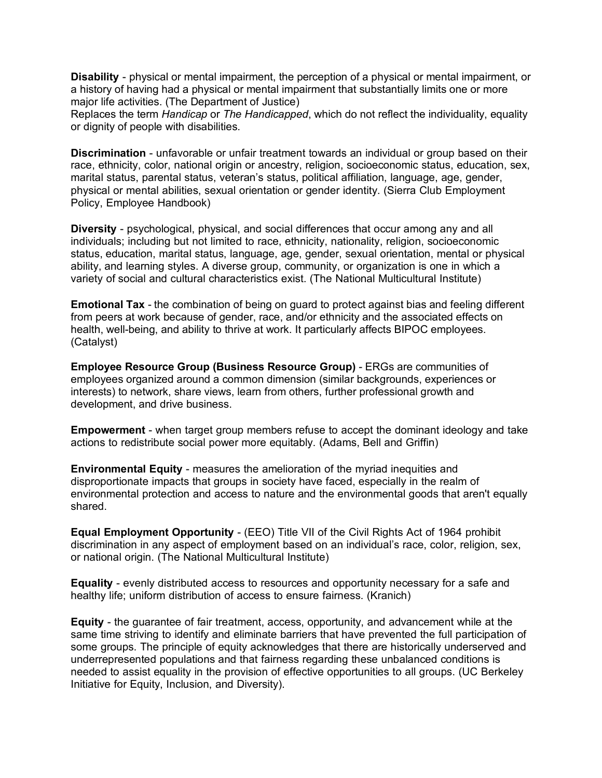**Disability** - physical or mental impairment, the perception of a physical or mental impairment, or a history of having had a physical or mental impairment that substantially limits one or more major life activities. (The Department of Justice)

Replaces the term *Handicap* or *The Handicapped*, which do not reflect the individuality, equality or dignity of people with disabilities.

**Discrimination** - unfavorable or unfair treatment towards an individual or group based on their race, ethnicity, color, national origin or ancestry, religion, socioeconomic status, education, sex, marital status, parental status, veteran's status, political affiliation, language, age, gender, physical or mental abilities, sexual orientation or gender identity. (Sierra Club Employment Policy, Employee Handbook)

**Diversity** - psychological, physical, and social differences that occur among any and all individuals; including but not limited to race, ethnicity, nationality, religion, socioeconomic status, education, marital status, language, age, gender, sexual orientation, mental or physical ability, and learning styles. A diverse group, community, or organization is one in which a variety of social and cultural characteristics exist. (The National Multicultural Institute)

**Emotional Tax** - the combination of being on guard to protect against bias and feeling different from peers at work because of gender, race, and/or ethnicity and the associated effects on health, well-being, and ability to thrive at work. It particularly affects BIPOC employees. (Catalyst)

**Employee Resource Group (Business Resource Group)** - ERGs are communities of employees organized around a common dimension (similar backgrounds, experiences or interests) to network, share views, learn from others, further professional growth and development, and drive business.

**Empowerment** - when target group members refuse to accept the dominant ideology and take actions to redistribute social power more equitably. (Adams, Bell and Griffin)

**Environmental Equity** - measures the amelioration of the myriad inequities and disproportionate impacts that groups in society have faced, especially in the realm of environmental protection and access to nature and the environmental goods that aren't equally shared.

**Equal Employment Opportunity** - (EEO) Title VII of the Civil Rights Act of 1964 prohibit discrimination in any aspect of employment based on an individual's race, color, religion, sex, or national origin. (The National Multicultural Institute)

**Equality** - evenly distributed access to resources and opportunity necessary for a safe and healthy life; uniform distribution of access to ensure fairness. (Kranich)

**Equity** - the guarantee of fair treatment, access, opportunity, and advancement while at the same time striving to identify and eliminate barriers that have prevented the full participation of some groups. The principle of equity acknowledges that there are historically underserved and underrepresented populations and that fairness regarding these unbalanced conditions is needed to assist equality in the provision of effective opportunities to all groups. (UC Berkeley Initiative for Equity, Inclusion, and Diversity).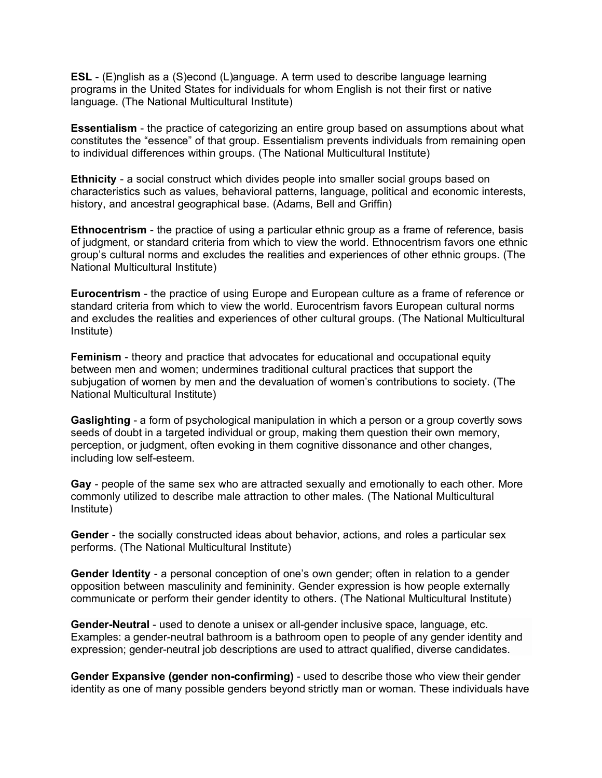**ESL** - (E)nglish as a (S)econd (L)anguage. A term used to describe language learning programs in the United States for individuals for whom English is not their first or native language. (The National Multicultural Institute)

**Essentialism** - the practice of categorizing an entire group based on assumptions about what constitutes the "essence" of that group. Essentialism prevents individuals from remaining open to individual differences within groups. (The National Multicultural Institute)

**Ethnicity** - a social construct which divides people into smaller social groups based on characteristics such as values, behavioral patterns, language, political and economic interests, history, and ancestral geographical base. (Adams, Bell and Griffin)

**Ethnocentrism** - the practice of using a particular ethnic group as a frame of reference, basis of judgment, or standard criteria from which to view the world. Ethnocentrism favors one ethnic group's cultural norms and excludes the realities and experiences of other ethnic groups. (The National Multicultural Institute)

**Eurocentrism** - the practice of using Europe and European culture as a frame of reference or standard criteria from which to view the world. Eurocentrism favors European cultural norms and excludes the realities and experiences of other cultural groups. (The National Multicultural Institute)

**Feminism** - theory and practice that advocates for educational and occupational equity between men and women; undermines traditional cultural practices that support the subjugation of women by men and the devaluation of women's contributions to society. (The National Multicultural Institute)

**Gaslighting** - a form of psychological manipulation in which a person or a group covertly sows seeds of doubt in a targeted individual or group, making them question their own memory, perception, or judgment, often evoking in them cognitive dissonance and other changes, including low self-esteem.

**Gay** - people of the same sex who are attracted sexually and emotionally to each other. More commonly utilized to describe male attraction to other males. (The National Multicultural Institute)

**Gender** - the socially constructed ideas about behavior, actions, and roles a particular sex performs. (The National Multicultural Institute)

**Gender Identity** - a personal conception of one's own gender; often in relation to a gender opposition between masculinity and femininity. Gender expression is how people externally communicate or perform their gender identity to others. (The National Multicultural Institute)

**Gender-Neutral** - used to denote a unisex or all-gender inclusive space, language, etc. Examples: a gender-neutral bathroom is a bathroom open to people of any gender identity and expression; gender-neutral job descriptions are used to attract qualified, diverse candidates.

**Gender Expansive (gender non-confirming)** - used to describe those who view their gender identity as one of many possible genders beyond strictly man or woman. These individuals have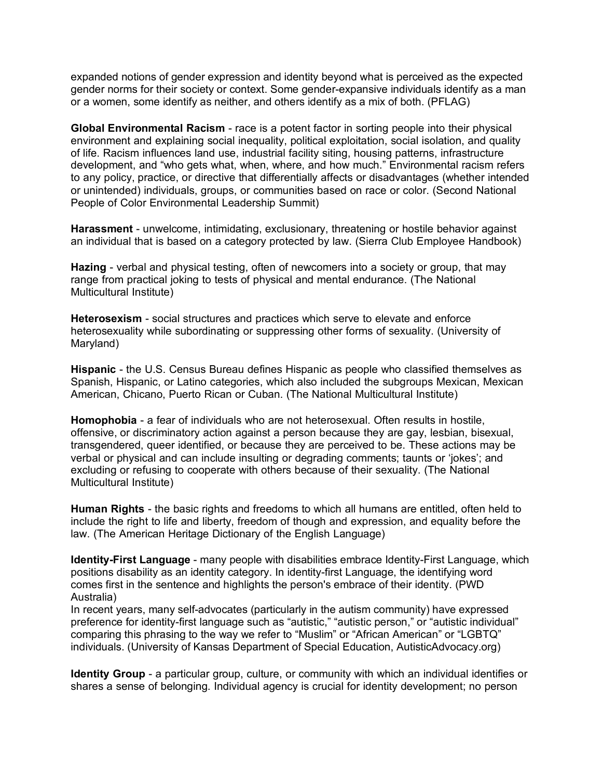expanded notions of gender expression and identity beyond what is perceived as the expected gender norms for their society or context. Some gender-expansive individuals identify as a man or a women, some identify as neither, and others identify as a mix of both. (PFLAG)

**Global Environmental Racism** - race is a potent factor in sorting people into their physical environment and explaining social inequality, political exploitation, social isolation, and quality of life. Racism influences land use, industrial facility siting, housing patterns, infrastructure development, and "who gets what, when, where, and how much." Environmental racism refers to any policy, practice, or directive that differentially affects or disadvantages (whether intended or unintended) individuals, groups, or communities based on race or color. (Second National People of Color Environmental Leadership Summit)

**Harassment** - unwelcome, intimidating, exclusionary, threatening or hostile behavior against an individual that is based on a category protected by law. (Sierra Club Employee Handbook)

**Hazing** - verbal and physical testing, often of newcomers into a society or group, that may range from practical joking to tests of physical and mental endurance. (The National Multicultural Institute)

**Heterosexism** - social structures and practices which serve to elevate and enforce heterosexuality while subordinating or suppressing other forms of sexuality. (University of Maryland)

**Hispanic** - the U.S. Census Bureau defines Hispanic as people who classified themselves as Spanish, Hispanic, or Latino categories, which also included the subgroups Mexican, Mexican American, Chicano, Puerto Rican or Cuban. (The National Multicultural Institute)

**Homophobia** - a fear of individuals who are not heterosexual. Often results in hostile, offensive, or discriminatory action against a person because they are gay, lesbian, bisexual, transgendered, queer identified, or because they are perceived to be. These actions may be verbal or physical and can include insulting or degrading comments; taunts or 'jokes'; and excluding or refusing to cooperate with others because of their sexuality. (The National Multicultural Institute)

**Human Rights** - the basic rights and freedoms to which all humans are entitled, often held to include the right to life and liberty, freedom of though and expression, and equality before the law. (The American Heritage Dictionary of the English Language)

**Identity-First Language** - many people with disabilities embrace Identity-First Language, which positions disability as an identity category. In identity-first Language, the identifying word comes first in the sentence and highlights the person's embrace of their identity. (PWD Australia)

In recent years, many self-advocates (particularly in the autism community) have expressed preference for identity-first language such as "autistic," "autistic person," or "autistic individual" comparing this phrasing to the way we refer to "Muslim" or "African American" or "LGBTQ" individuals. (University of Kansas Department of Special Education, AutisticAdvocacy.org)

**Identity Group** - a particular group, culture, or community with which an individual identifies or shares a sense of belonging. Individual agency is crucial for identity development; no person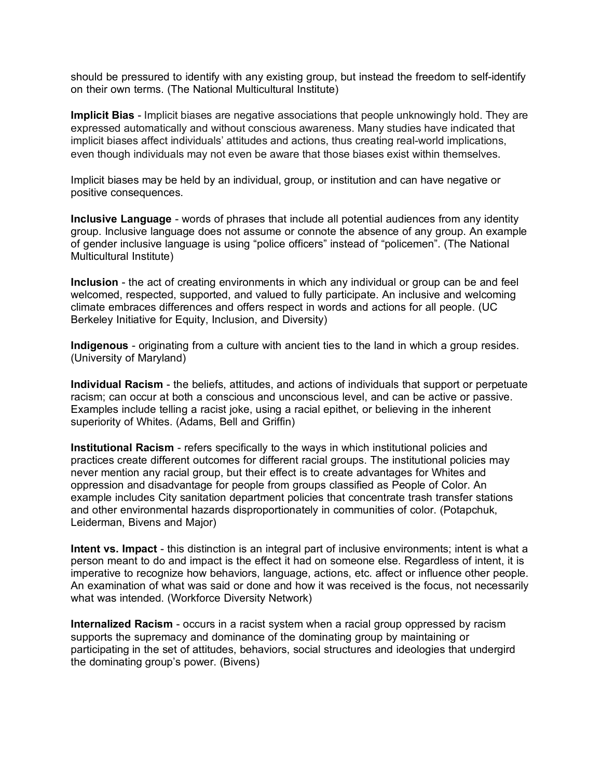should be pressured to identify with any existing group, but instead the freedom to self-identify on their own terms. (The National Multicultural Institute)

**Implicit Bias** - Implicit biases are negative associations that people unknowingly hold. They are expressed automatically and without conscious awareness. Many studies have indicated that implicit biases affect individuals' attitudes and actions, thus creating real-world implications, even though individuals may not even be aware that those biases exist within themselves.

Implicit biases may be held by an individual, group, or institution and can have negative or positive consequences.

**Inclusive Language** - words of phrases that include all potential audiences from any identity group. Inclusive language does not assume or connote the absence of any group. An example of gender inclusive language is using "police officers" instead of "policemen". (The National Multicultural Institute)

**Inclusion** - the act of creating environments in which any individual or group can be and feel welcomed, respected, supported, and valued to fully participate. An inclusive and welcoming climate embraces differences and offers respect in words and actions for all people. (UC Berkeley Initiative for Equity, Inclusion, and Diversity)

**Indigenous** - originating from a culture with ancient ties to the land in which a group resides. (University of Maryland)

**Individual Racism** - the beliefs, attitudes, and actions of individuals that support or perpetuate racism; can occur at both a conscious and unconscious level, and can be active or passive. Examples include telling a racist joke, using a racial epithet, or believing in the inherent superiority of Whites. (Adams, Bell and Griffin)

**Institutional Racism** - refers specifically to the ways in which institutional policies and practices create different outcomes for different racial groups. The institutional policies may never mention any racial group, but their effect is to create advantages for Whites and oppression and disadvantage for people from groups classified as People of Color. An example includes City sanitation department policies that concentrate trash transfer stations and other environmental hazards disproportionately in communities of color. (Potapchuk, Leiderman, Bivens and Major)

**Intent vs. Impact** - this distinction is an integral part of inclusive environments; intent is what a person meant to do and impact is the effect it had on someone else. Regardless of intent, it is imperative to recognize how behaviors, language, actions, etc. affect or influence other people. An examination of what was said or done and how it was received is the focus, not necessarily what was intended. (Workforce Diversity Network)

**Internalized Racism** - occurs in a racist system when a racial group oppressed by racism supports the supremacy and dominance of the dominating group by maintaining or participating in the set of attitudes, behaviors, social structures and ideologies that undergird the dominating group's power. (Bivens)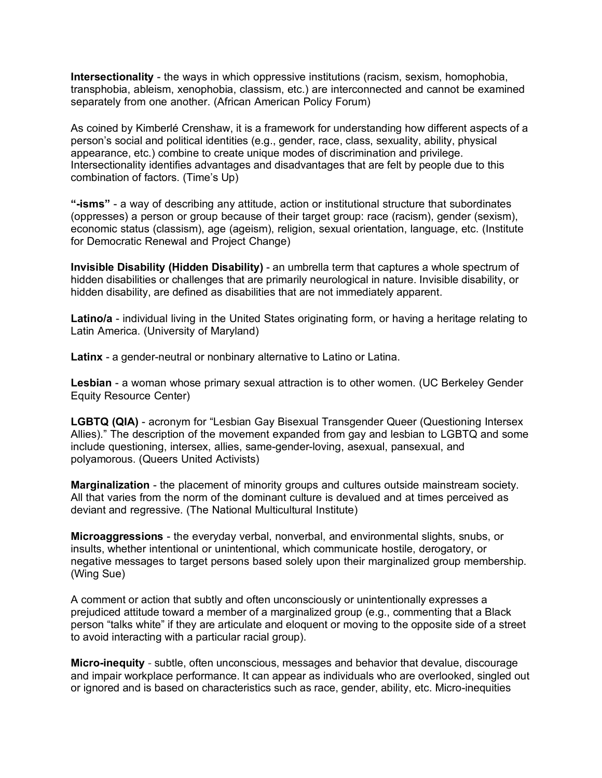**Intersectionality** - the ways in which oppressive institutions (racism, sexism, homophobia, transphobia, ableism, xenophobia, classism, etc.) are interconnected and cannot be examined separately from one another. (African American Policy Forum)

As coined by Kimberlé Crenshaw, it is a framework for understanding how different aspects of a person's social and political identities (e.g., gender, race, class, sexuality, ability, physical appearance, etc.) combine to create unique modes of discrimination and privilege. Intersectionality identifies advantages and disadvantages that are felt by people due to this combination of factors. (Time's Up)

**"-isms"** - a way of describing any attitude, action or institutional structure that subordinates (oppresses) a person or group because of their target group: race (racism), gender (sexism), economic status (classism), age (ageism), religion, sexual orientation, language, etc. (Institute for Democratic Renewal and Project Change)

**Invisible Disability (Hidden Disability)** - an umbrella term that captures a whole spectrum of hidden disabilities or challenges that are primarily neurological in nature. Invisible disability, or hidden disability, are defined as disabilities that are not immediately apparent.

**Latino/a** - individual living in the United States originating form, or having a heritage relating to Latin America. (University of Maryland)

**Latinx** - a gender-neutral or nonbinary alternative to Latino or Latina.

**Lesbian** - a woman whose primary sexual attraction is to other women. (UC Berkeley Gender Equity Resource Center)

**LGBTQ (QIA)** - acronym for "Lesbian Gay Bisexual Transgender Queer (Questioning Intersex Allies)." The description of the movement expanded from gay and lesbian to LGBTQ and some include questioning, intersex, allies, same-gender-loving, asexual, pansexual, and polyamorous. (Queers United Activists)

**Marginalization** - the placement of minority groups and cultures outside mainstream society. All that varies from the norm of the dominant culture is devalued and at times perceived as deviant and regressive. (The National Multicultural Institute)

**Microaggressions** - the everyday verbal, nonverbal, and environmental slights, snubs, or insults, whether intentional or unintentional, which communicate hostile, derogatory, or negative messages to target persons based solely upon their marginalized group membership. (Wing Sue)

A comment or action that subtly and often unconsciously or unintentionally expresses a prejudiced attitude toward a member of a marginalized group (e.g., commenting that a Black person "talks white" if they are articulate and eloquent or moving to the opposite side of a street to avoid interacting with a particular racial group).

**Micro-inequity** - subtle, often unconscious, messages and behavior that devalue, discourage and impair workplace performance. It can appear as individuals who are overlooked, singled out or ignored and is based on characteristics such as race, gender, ability, etc. Micro-inequities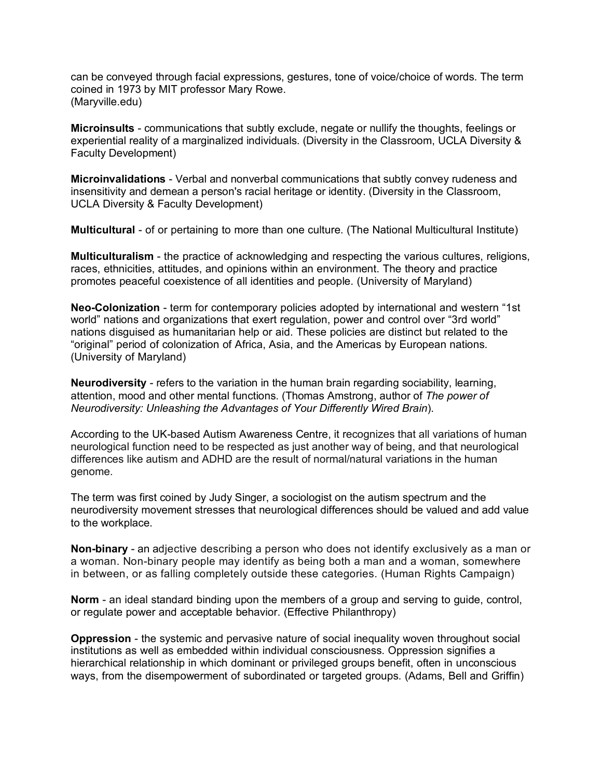can be conveyed through facial expressions, gestures, tone of voice/choice of words. The term coined in 1973 by MIT professor Mary Rowe. (Maryville.edu)

**Microinsults** - communications that subtly exclude, negate or nullify the thoughts, feelings or experiential reality of a marginalized individuals. (Diversity in the Classroom, UCLA Diversity & Faculty Development)

**Microinvalidations** - Verbal and nonverbal communications that subtly convey rudeness and insensitivity and demean a person's racial heritage or identity. (Diversity in the Classroom, UCLA Diversity & Faculty Development)

**Multicultural** - of or pertaining to more than one culture. (The National Multicultural Institute)

**Multiculturalism** - the practice of acknowledging and respecting the various cultures, religions, races, ethnicities, attitudes, and opinions within an environment. The theory and practice promotes peaceful coexistence of all identities and people. (University of Maryland)

**Neo-Colonization** - term for contemporary policies adopted by international and western "1st world" nations and organizations that exert regulation, power and control over "3rd world" nations disguised as humanitarian help or aid. These policies are distinct but related to the "original" period of colonization of Africa, Asia, and the Americas by European nations. (University of Maryland)

**Neurodiversity** - refers to the variation in the human brain regarding sociability, learning, attention, mood and other mental functions. (Thomas Amstrong, author of *The power of Neurodiversity: Unleashing the Advantages of Your Differently Wired Brain*).

According to the UK-based Autism Awareness Centre, it recognizes that all variations of human neurological function need to be respected as just another way of being, and that neurological differences like autism and ADHD are the result of normal/natural variations in the human genome.

The term was first coined by Judy Singer, a sociologist on the autism spectrum and the neurodiversity movement stresses that neurological differences should be valued and add value to the workplace.

**Non-binary** - an adjective describing a person who does not identify exclusively as a man or a woman. Non-binary people may identify as being both a man and a woman, somewhere in between, or as falling completely outside these categories. (Human Rights Campaign)

**Norm** - an ideal standard binding upon the members of a group and serving to guide, control, or regulate power and acceptable behavior. (Effective Philanthropy)

**Oppression** - the systemic and pervasive nature of social inequality woven throughout social institutions as well as embedded within individual consciousness. Oppression signifies a hierarchical relationship in which dominant or privileged groups benefit, often in unconscious ways, from the disempowerment of subordinated or targeted groups. (Adams, Bell and Griffin)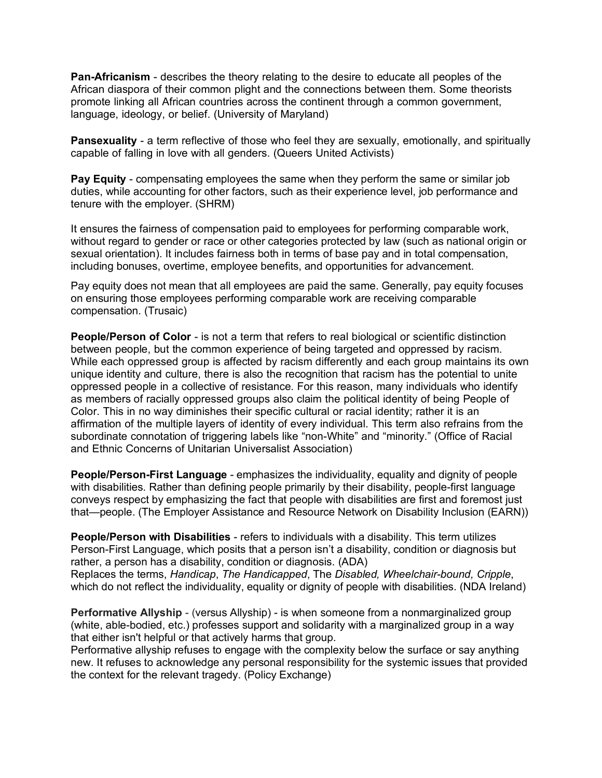**Pan-Africanism** - describes the theory relating to the desire to educate all peoples of the African diaspora of their common plight and the connections between them. Some theorists promote linking all African countries across the continent through a common government, language, ideology, or belief. (University of Maryland)

**Pansexuality** - a term reflective of those who feel they are sexually, emotionally, and spiritually capable of falling in love with all genders. (Queers United Activists)

**Pav Equity** - compensating employees the same when they perform the same or similar job duties, while accounting for other factors, such as their experience level, job performance and tenure with the employer. (SHRM)

It ensures the fairness of compensation paid to employees for performing comparable work, without regard to gender or race or other categories protected by law (such as national origin or sexual orientation). It includes fairness both in terms of base pay and in total compensation, including bonuses, overtime, employee benefits, and opportunities for advancement.

Pay equity does not mean that all employees are paid the same. Generally, pay equity focuses on ensuring those employees performing comparable work are receiving comparable compensation. (Trusaic)

**People/Person of Color** - is not a term that refers to real biological or scientific distinction between people, but the common experience of being targeted and oppressed by racism. While each oppressed group is affected by racism differently and each group maintains its own unique identity and culture, there is also the recognition that racism has the potential to unite oppressed people in a collective of resistance. For this reason, many individuals who identify as members of racially oppressed groups also claim the political identity of being People of Color. This in no way diminishes their specific cultural or racial identity; rather it is an affirmation of the multiple layers of identity of every individual. This term also refrains from the subordinate connotation of triggering labels like "non-White" and "minority." (Office of Racial and Ethnic Concerns of Unitarian Universalist Association)

**People/Person-First Language** - emphasizes the individuality, equality and dignity of people with disabilities. Rather than defining people primarily by their disability, people-first language conveys respect by emphasizing the fact that people with disabilities are first and foremost just that—people. (The Employer Assistance and Resource Network on Disability Inclusion (EARN))

**People/Person with Disabilities** - refers to individuals with a disability. This term utilizes Person-First Language, which posits that a person isn't a disability, condition or diagnosis but rather, a person has a disability, condition or diagnosis. (ADA) Replaces the terms, *Handicap*, *The Handicapped*, The *Disabled, Wheelchair-bound, Cripple*, which do not reflect the individuality, equality or dignity of people with disabilities. (NDA Ireland)

**Performative Allyship** - (versus Allyship) - is when someone from a nonmarginalized group (white, able-bodied, etc.) professes support and solidarity with a marginalized group in a way that either isn't helpful or that actively harms that group.

Performative allyship refuses to engage with the complexity below the surface or say anything new. It refuses to acknowledge any personal responsibility for the systemic issues that provided the context for the relevant tragedy. (Policy Exchange)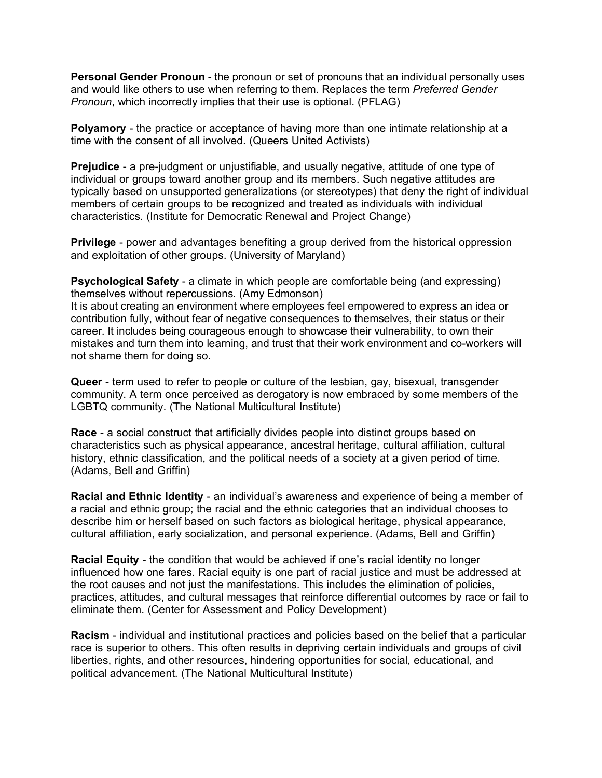**Personal Gender Pronoun** - the pronoun or set of pronouns that an individual personally uses and would like others to use when referring to them. Replaces the term *Preferred Gender Pronoun*, which incorrectly implies that their use is optional. (PFLAG)

**Polyamory** - the practice or acceptance of having more than one intimate relationship at a time with the consent of all involved. (Queers United Activists)

**Prejudice** - a pre-judgment or unjustifiable, and usually negative, attitude of one type of individual or groups toward another group and its members. Such negative attitudes are typically based on unsupported generalizations (or stereotypes) that deny the right of individual members of certain groups to be recognized and treated as individuals with individual characteristics. (Institute for Democratic Renewal and Project Change)

**Privilege** - power and advantages benefiting a group derived from the historical oppression and exploitation of other groups. (University of Maryland)

**Psychological Safety** - a climate in which people are comfortable being (and expressing) themselves without repercussions. (Amy Edmonson)

It is about creating an environment where employees feel empowered to express an idea or contribution fully, without fear of negative consequences to themselves, their status or their career. It includes being courageous enough to showcase their vulnerability, to own their mistakes and turn them into learning, and trust that their work environment and co-workers will not shame them for doing so.

**Queer** - term used to refer to people or culture of the lesbian, gay, bisexual, transgender community. A term once perceived as derogatory is now embraced by some members of the LGBTQ community. (The National Multicultural Institute)

**Race** - a social construct that artificially divides people into distinct groups based on characteristics such as physical appearance, ancestral heritage, cultural affiliation, cultural history, ethnic classification, and the political needs of a society at a given period of time. (Adams, Bell and Griffin)

**Racial and Ethnic Identity** - an individual's awareness and experience of being a member of a racial and ethnic group; the racial and the ethnic categories that an individual chooses to describe him or herself based on such factors as biological heritage, physical appearance, cultural affiliation, early socialization, and personal experience. (Adams, Bell and Griffin)

**Racial Equity** - the condition that would be achieved if one's racial identity no longer influenced how one fares. Racial equity is one part of racial justice and must be addressed at the root causes and not just the manifestations. This includes the elimination of policies, practices, attitudes, and cultural messages that reinforce differential outcomes by race or fail to eliminate them. (Center for Assessment and Policy Development)

**Racism** - individual and institutional practices and policies based on the belief that a particular race is superior to others. This often results in depriving certain individuals and groups of civil liberties, rights, and other resources, hindering opportunities for social, educational, and political advancement. (The National Multicultural Institute)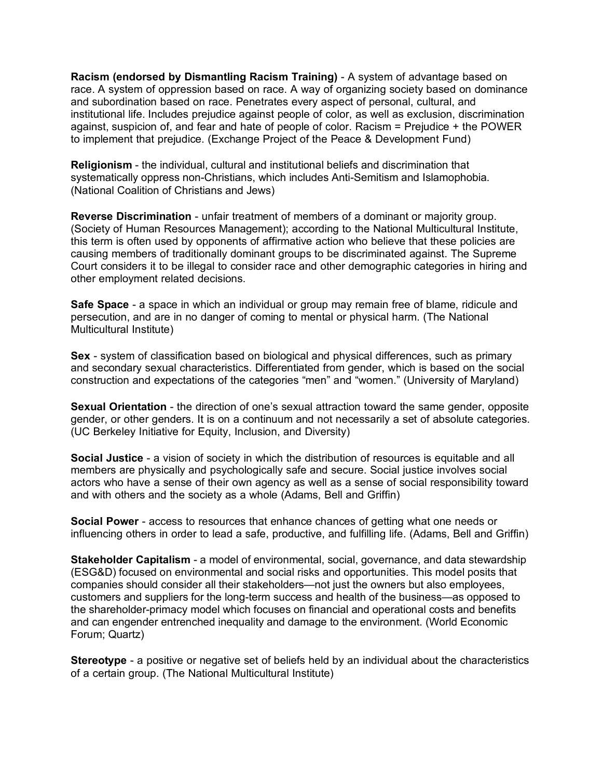**Racism (endorsed by Dismantling Racism Training)** - A system of advantage based on race. A system of oppression based on race. A way of organizing society based on dominance and subordination based on race. Penetrates every aspect of personal, cultural, and institutional life. Includes prejudice against people of color, as well as exclusion, discrimination against, suspicion of, and fear and hate of people of color. Racism = Prejudice + the POWER to implement that prejudice. (Exchange Project of the Peace & Development Fund)

**Religionism** - the individual, cultural and institutional beliefs and discrimination that systematically oppress non-Christians, which includes Anti-Semitism and Islamophobia. (National Coalition of Christians and Jews)

**Reverse Discrimination** - unfair treatment of members of a dominant or majority group. (Society of Human Resources Management); according to the National Multicultural Institute, this term is often used by opponents of affirmative action who believe that these policies are causing members of traditionally dominant groups to be discriminated against. The Supreme Court considers it to be illegal to consider race and other demographic categories in hiring and other employment related decisions.

**Safe Space** - a space in which an individual or group may remain free of blame, ridicule and persecution, and are in no danger of coming to mental or physical harm. (The National Multicultural Institute)

**Sex** - system of classification based on biological and physical differences, such as primary and secondary sexual characteristics. Differentiated from gender, which is based on the social construction and expectations of the categories "men" and "women." (University of Maryland)

**Sexual Orientation** - the direction of one's sexual attraction toward the same gender, opposite gender, or other genders. It is on a continuum and not necessarily a set of absolute categories. (UC Berkeley Initiative for Equity, Inclusion, and Diversity)

**Social Justice** - a vision of society in which the distribution of resources is equitable and all members are physically and psychologically safe and secure. Social justice involves social actors who have a sense of their own agency as well as a sense of social responsibility toward and with others and the society as a whole (Adams, Bell and Griffin)

**Social Power** - access to resources that enhance chances of getting what one needs or influencing others in order to lead a safe, productive, and fulfilling life. (Adams, Bell and Griffin)

**Stakeholder Capitalism** - a model of environmental, social, governance, and data stewardship (ESG&D) focused on environmental and social risks and opportunities. This model posits that companies should consider all their stakeholders—not just the owners but also employees, customers and suppliers for the long-term success and health of the business—as opposed to the shareholder-primacy model which focuses on financial and operational costs and benefits and can engender entrenched inequality and damage to the environment. (World Economic Forum; Quartz)

**Stereotype** - a positive or negative set of beliefs held by an individual about the characteristics of a certain group. (The National Multicultural Institute)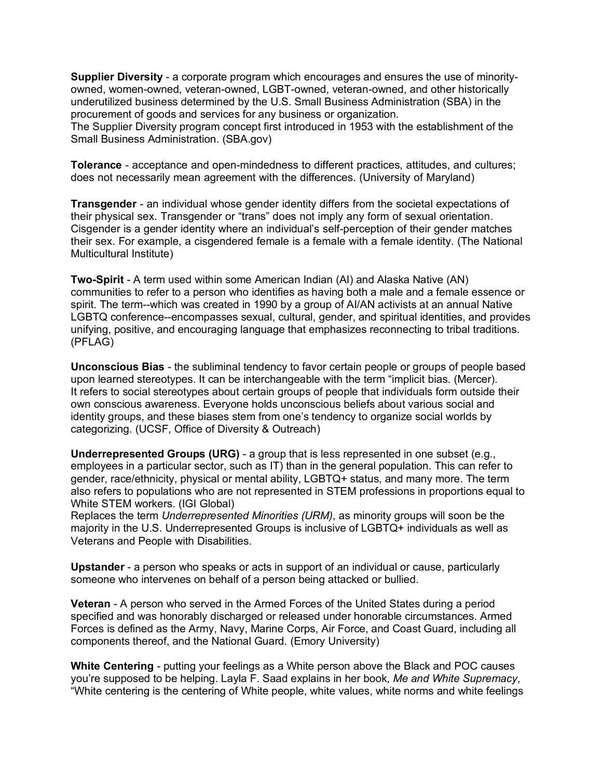**Supplier Diversity** - a corporate program which encourages and ensures the use of minorityowned, women-owned, veteran-owned, LGBT-owned, veteran-owned, and other historically underutilized business determined by the U.S. Small Business Administration (SBA) in the procurement of goods and services for any business or organization. The Supplier Diversity program concept first introduced in 1953 with the establishment of the

Small Business Administration. (SBA.gov)

**Tolerance** - acceptance and open-mindedness to different practices, attitudes, and cultures; does not necessarily mean agreement with the differences. (University of Maryland)

**Transgender** - an individual whose gender identity differs from the societal expectations of their physical sex. Transgender or "trans" does not imply any form of sexual orientation. Cisgender is a gender identity where an individual's self-perception of their gender matches their sex. For example, a cisgendered female is a female with a female identity. (The National Multicultural Institute)

**Two-Spirit** - A term used within some American Indian (AI) and Alaska Native (AN) communities to refer to a person who identifies as having both a male and a female essence or spirit. The term--which was created in 1990 by a group of AI/AN activists at an annual Native LGBTQ conference--encompasses sexual, cultural, gender, and spiritual identities, and provides unifying, positive, and encouraging language that emphasizes reconnecting to tribal traditions. (PFLAG)

**Unconscious Bias** - the subliminal tendency to favor certain people or groups of people based upon learned stereotypes. It can be interchangeable with the term "implicit bias. (Mercer). It refers to social stereotypes about certain groups of people that individuals form outside their own conscious awareness. Everyone holds unconscious beliefs about various social and identity groups, and these biases stem from one's tendency to organize social worlds by categorizing. (UCSF, Office of Diversity & Outreach)

**Underrepresented Groups (URG)** - a group that is less represented in one subset (e.g., employees in a particular sector, such as IT) than in the general population. This can refer to gender, race/ethnicity, physical or mental ability, LGBTQ+ status, and many more. The term also refers to populations who are not represented in STEM professions in proportions equal to White STEM workers. (IGI Global)

Replaces the term *Underrepresented Minorities (URM)*, as minority groups will soon be the majority in the U.S. Underrepresented Groups is inclusive of LGBTQ+ individuals as well as Veterans and People with Disabilities.

**Upstander** - a person who speaks or acts in support of an individual or cause, particularly someone who intervenes on behalf of a person being attacked or bullied.

**Veteran** - A person who served in the Armed Forces of the United States during a period specified and was honorably discharged or released under honorable circumstances. Armed Forces is defined as the Army, Navy, Marine Corps, Air Force, and Coast Guard, including all components thereof, and the National Guard. (Emory University)

**White Centering** - putting your feelings as a White person above the Black and POC causes you're supposed to be helping. Layla F. Saad explains in her book, *Me and White Supremacy*, "White centering is the centering of White people, white values, white norms and white feelings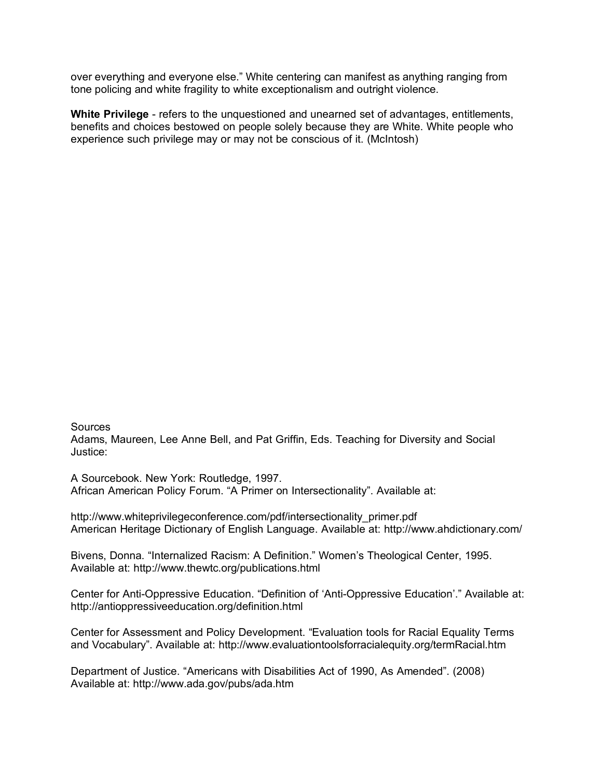over everything and everyone else." White centering can manifest as anything ranging from tone policing and white fragility to white exceptionalism and outright violence.

**White Privilege** - refers to the unquestioned and unearned set of advantages, entitlements, benefits and choices bestowed on people solely because they are White. White people who experience such privilege may or may not be conscious of it. (McIntosh)

## **Sources**

Adams, Maureen, Lee Anne Bell, and Pat Griffin, Eds. Teaching for Diversity and Social Justice:

A Sourcebook. New York: Routledge, 1997. African American Policy Forum. "A Primer on Intersectionality". Available at:

http://www.whiteprivilegeconference.com/pdf/intersectionality\_primer.pdf American Heritage Dictionary of English Language. Available at: http://www.ahdictionary.com/

Bivens, Donna. "Internalized Racism: A Definition." Women's Theological Center, 1995. Available at: http://www.thewtc.org/publications.html

Center for Anti-Oppressive Education. "Definition of 'Anti-Oppressive Education'." Available at: http://antioppressiveeducation.org/definition.html

Center for Assessment and Policy Development. "Evaluation tools for Racial Equality Terms and Vocabulary". Available at: http://www.evaluationtoolsforracialequity.org/termRacial.htm

Department of Justice. "Americans with Disabilities Act of 1990, As Amended". (2008) Available at: http://www.ada.gov/pubs/ada.htm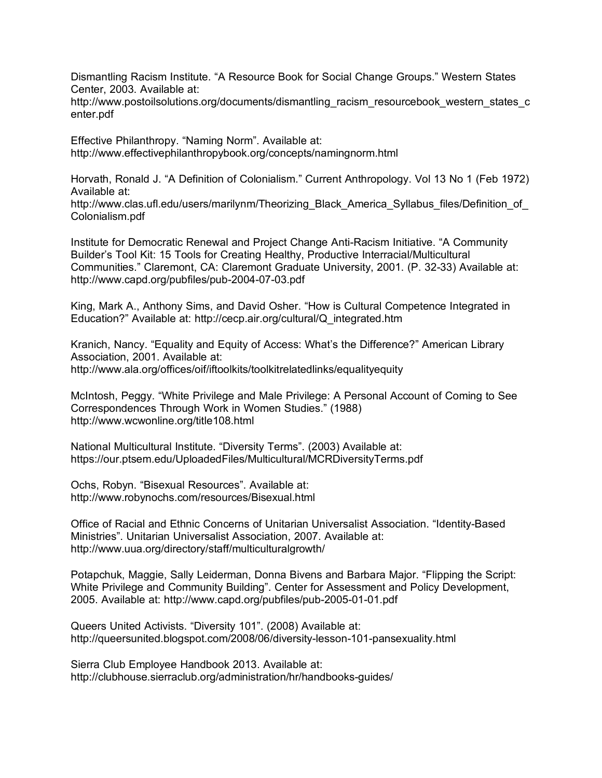Dismantling Racism Institute. "A Resource Book for Social Change Groups." Western States Center, 2003. Available at:

http://www.postoilsolutions.org/documents/dismantling\_racism\_resourcebook\_western\_states\_c enter.pdf

Effective Philanthropy. "Naming Norm". Available at: http://www.effectivephilanthropybook.org/concepts/namingnorm.html

Horvath, Ronald J. "A Definition of Colonialism." Current Anthropology. Vol 13 No 1 (Feb 1972) Available at:

http://www.clas.ufl.edu/users/marilynm/Theorizing\_Black\_America\_Syllabus\_files/Definition\_of Colonialism.pdf

Institute for Democratic Renewal and Project Change Anti-Racism Initiative. "A Community Builder's Tool Kit: 15 Tools for Creating Healthy, Productive Interracial/Multicultural Communities." Claremont, CA: Claremont Graduate University, 2001. (P. 32-33) Available at: http://www.capd.org/pubfiles/pub-2004-07-03.pdf

King, Mark A., Anthony Sims, and David Osher. "How is Cultural Competence Integrated in Education?" Available at: http://cecp.air.org/cultural/Q\_integrated.htm

Kranich, Nancy. "Equality and Equity of Access: What's the Difference?" American Library Association, 2001. Available at: http://www.ala.org/offices/oif/iftoolkits/toolkitrelatedlinks/equalityequity

McIntosh, Peggy. "White Privilege and Male Privilege: A Personal Account of Coming to See Correspondences Through Work in Women Studies." (1988) http://www.wcwonline.org/title108.html

National Multicultural Institute. "Diversity Terms". (2003) Available at: https://our.ptsem.edu/UploadedFiles/Multicultural/MCRDiversityTerms.pdf

Ochs, Robyn. "Bisexual Resources". Available at: http://www.robynochs.com/resources/Bisexual.html

Office of Racial and Ethnic Concerns of Unitarian Universalist Association. "Identity-Based Ministries". Unitarian Universalist Association, 2007. Available at: http://www.uua.org/directory/staff/multiculturalgrowth/

Potapchuk, Maggie, Sally Leiderman, Donna Bivens and Barbara Major. "Flipping the Script: White Privilege and Community Building". Center for Assessment and Policy Development, 2005. Available at: http://www.capd.org/pubfiles/pub-2005-01-01.pdf

Queers United Activists. "Diversity 101". (2008) Available at: http://queersunited.blogspot.com/2008/06/diversity-lesson-101-pansexuality.html

Sierra Club Employee Handbook 2013. Available at: http://clubhouse.sierraclub.org/administration/hr/handbooks-guides/